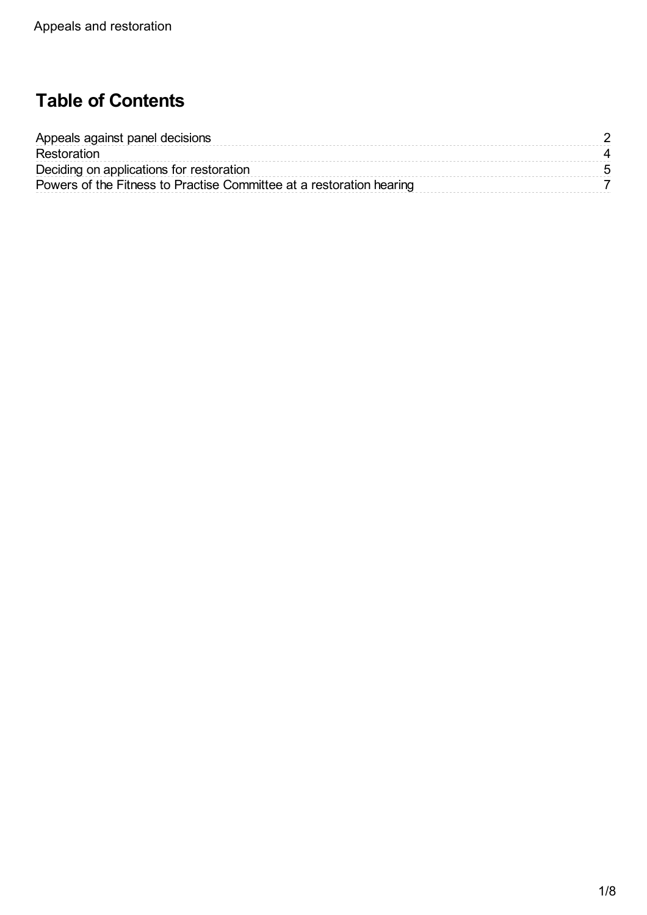# **Table of Contents**

| Appeals against panel decisions                                      |  |
|----------------------------------------------------------------------|--|
| Restoration                                                          |  |
| Deciding on applications for restoration                             |  |
| Powers of the Fitness to Practise Committee at a restoration hearing |  |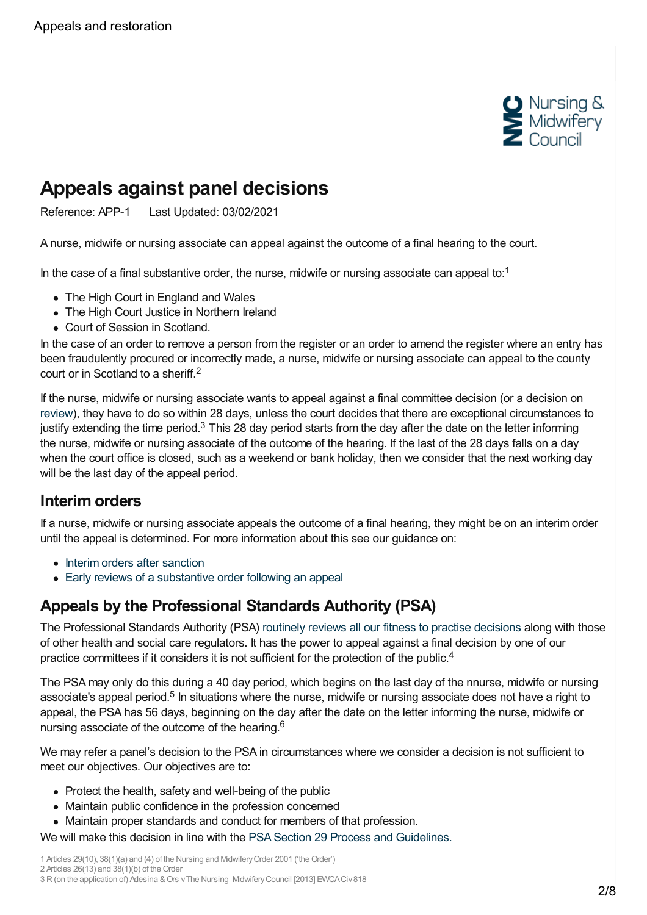

# <span id="page-1-0"></span>**Appeals against panel decisions**

Reference: APP-1 Last Updated: 03/02/2021

A nurse, midwife or nursing associate can appeal against the outcome of a final hearing to the court.

In the case of a final substantive order, the nurse, midwife or nursing associate can appeal to:<sup>1</sup>

- The High Court in England and Wales
- The High Court Justice in Northern Ireland
- Court of Session in Scotland.

In the case of an order to remove a person from the register or an order to amend the register where an entry has been fraudulently procured or incorrectly made, a nurse, midwife or nursing associate can appeal to the county court or in Scotland to a sheriff. 2

If the nurse, midwife or nursing associate wants to appeal against a final committee decision (or a decision on [review](https://www.nmc.org.uk/ftp-library/reviews/substantive-order-reviews/)), they have to do so within 28 days, unless the court decides that there are exceptional circumstances to justify extending the time period.<sup>3</sup> This 28 day period starts from the day after the date on the letter informing the nurse, midwife or nursing associate of the outcome of the hearing. If the last of the 28 days falls on a day when the court office is closed, such as a weekend or bank holiday, then we consider that the next working day will be the last day of the appeal period.

### **Interim orders**

If a nurse, midwife or nursing associate appeals the outcome of a final hearing, they might be on an interim order until the appeal is determined. For more information about this see our guidance on:

- Interim orders after [sanction](https://www.nmc.org.uk/ftp-library/sanctions/interim-orders-after-a-sanction-is-imposed/)
- Early reviews of a [substantive](https://www.nmc.org.uk/ftp-library/reviews/substantive-order-reviews/early-review/) order following an appeal

### **Appeals by the Professional Standards Authority (PSA)**

The Professional Standards Authority (PSA) routinely reviews all our fitness to practise [decisions](https://www.nmc.org.uk/about-us/governance/oversight/psa/) along with those of other health and social care regulators. It has the power to appeal against a final decision by one of our practice committees if it considers it is not sufficient for the protection of the public.<sup>4</sup>

The PSA may only do this during a 40 day period, which begins on the last day of the nnurse, midwife or nursing associate's appeal period.<sup>5</sup> In situations where the nurse, midwife or nursing associate does not have a right to appeal, the PSA has 56 days, beginning on the day after the date on the letter informing the nurse, midwife or nursing associate of the outcome of the hearing.<sup>6</sup>

We may refer a panel's decision to the PSA in circumstances where we consider a decision is not sufficient to meet our objectives. Our objectives are to:

- Protect the health, safety and well-being of the public
- Maintain public confidence in the profession concerned
- Maintain proper standards and conduct for members of that profession.
- We will make this decision in line with the PSA Section 29 Process and [Guidelines.](https://www.professionalstandards.org.uk/docs/default-source/section-29/section-29-general/decisions-about-regulated-practitioners.pdf?sfvrsn=2)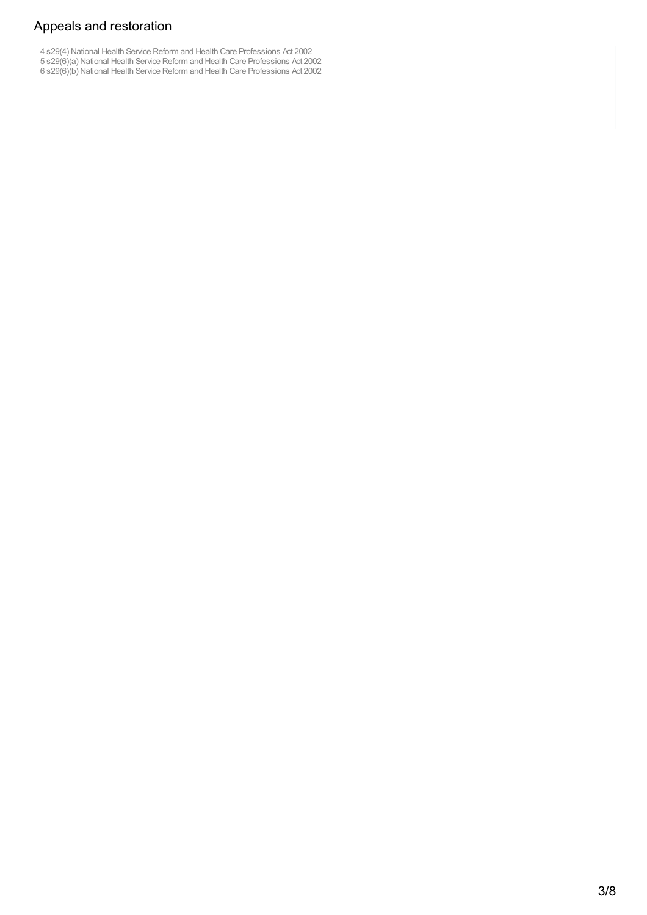### Appeals and restoration

4 s29(4) National Health Service Reform and Health Care Professions Act 2002

- 5 s29(6)(a) National Health Service Reform and Health Care Professions Act 2002
- 6 s29(6)(b) National Health Service Reform and Health Care Professions Act 2002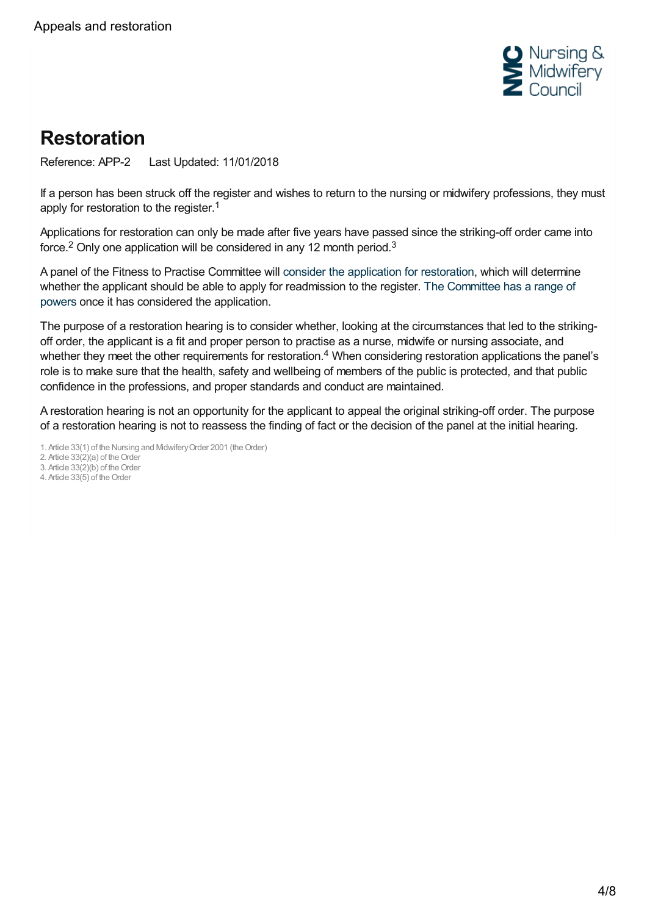

# <span id="page-3-0"></span>**Restoration**

Reference: APP-2 Last Updated: 11/01/2018

If a person has been struck off the register and wishes to return to the nursing or midwifery professions, they must apply for restoration to the register.<sup>1</sup>

Applications for restoration can only be made after five years have passed since the striking-off order came into force.<sup>2</sup> Only one application will be considered in any 12 month period.<sup>3</sup>

A panel of the Fitness to Practise Committee will consider the [application](https://www.nmc.org.uk/ftp-library/appeals-restoration/restoration/deciding-on-applications-for-restoration/) for restoration, which will determine whether the applicant should be able to apply for [readmission](https://www.nmc.org.uk/ftp-library/appeals-restoration/restoration/powers-of-the-fitness-to-practise-committee-at-a-restoration-hearing/) to the register. The Committee has a range of powers once it has considered the application.

The purpose of a restoration hearing is to consider whether, looking at the circumstances that led to the strikingoff order, the applicant is a fit and proper person to practise as a nurse, midwife or nursing associate, and whether they meet the other requirements for restoration.<sup>4</sup> When considering restoration applications the panel's role is to make sure that the health, safety and wellbeing of members of the public is protected, and that public confidence in the professions, and proper standards and conduct are maintained.

A restoration hearing is not an opportunity for the applicant to appeal the original striking-off order. The purpose of a restoration hearing is not to reassess the finding of fact or the decision of the panel at the initial hearing.

1. Article 33(1) of the Nursing and Midwifery Order 2001 (the Order)

2. Article  $33(2)(a)$  of the Order

3. Article  $33(2)(b)$  of the Order

4. Article 33(5) of the Order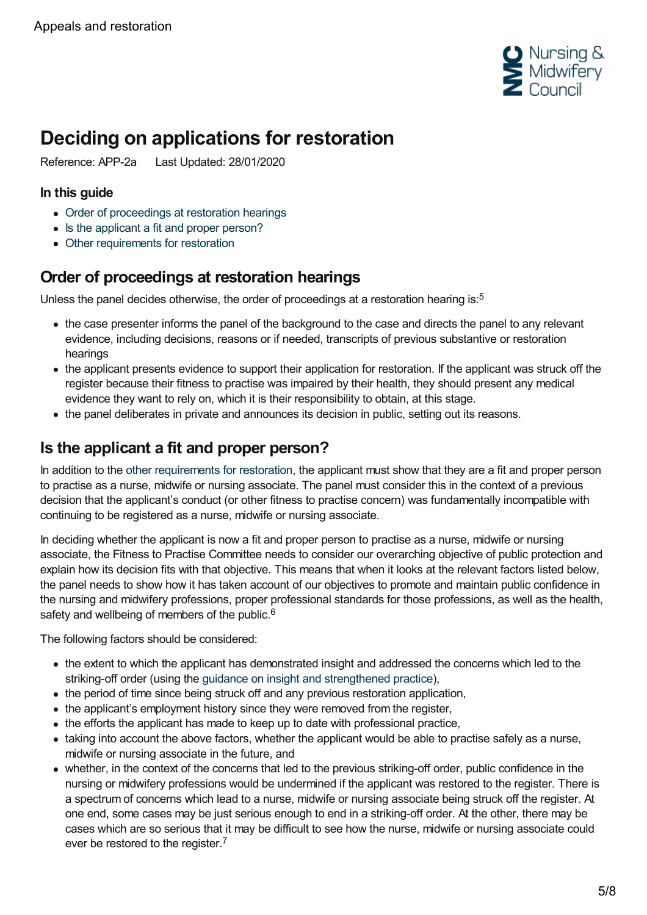

# <span id="page-4-0"></span>**Deciding on applications for restoration**

Reference: APP-2a Last Updated: 28/01/2020

#### **In this guide**

- Order of [proceedings](#page-4-1) at restoration hearings
- Is the [applicant](#page-4-2) a fit and proper person?
- Other [requirements](#page-5-0) for restoration

## <span id="page-4-1"></span>**Order of proceedings at restoration hearings**

Unless the panel decides otherwise, the order of proceedings at a restoration hearing is:<sup>5</sup>

- the case presenter informs the panel of the background to the case and directs the panel to any relevant evidence, including decisions, reasons or if needed, transcripts of previous substantive or restoration hearings
- the applicant presents evidence to support their application for restoration. If the applicant was struck off the register because their fitness to practise was impaired by their health, they should present any medical evidence they want to rely on, which it is their responsibility to obtain, at this stage.
- the panel deliberates in private and announces its decision in public, setting out its reasons.

### <span id="page-4-2"></span>**Is the applicant a fit and proper person?**

In addition to the other [requirements](#page-5-0) for restoration, the applicant must show that they are a fit and proper person to practise as a nurse, midwife or nursing associate. The panel must consider this in the context of a previous decision that the applicant's conduct (or other fitness to practise concern) was fundamentally incompatible with continuing to be registered as a nurse, midwife or nursing associate.

In deciding whether the applicant is now a fit and proper person to practise as a nurse, midwife or nursing associate, the Fitness to Practise Committee needs to consider our overarching objective of public protection and explain how its decision fits with that objective. This means that when it looks at the relevant factors listed below, the panel needs to show how it has taken account of our objectives to promote and maintain public confidence in the nursing and midwifery professions, proper professional standards for those professions, as well as the health, safety and wellbeing of members of the public.<sup>6</sup>

The following factors should be considered:

- the extent to which the applicant has demonstrated insight and addressed the concerns which led to the striking-off order (using the guidance on insight and [strengthened](https://www.nmc.org.uk/ftp-library/understanding-fitness-to-practise/insight-and-strengthened-practice/) practice),
- the period of time since being struck off and any previous restoration application,
- the applicant's employment history since they were removed from the register,
- the efforts the applicant has made to keep up to date with professional practice,
- taking into account the above factors, whether the applicant would be able to practise safely as a nurse, midwife or nursing associate in the future, and
- whether, in the context of the concerns that led to the previous striking-off order, public confidence in the nursing or midwifery professions would be undermined if the applicant was restored to the register. There is a spectrum of concerns which lead to a nurse, midwife or nursing associate being struck off the register. At one end, some cases may be just serious enough to end in a striking-off order. At the other, there may be cases which are so serious that it may be difficult to see how the nurse, midwife or nursing associate could ever be restored to the register.<sup>7</sup>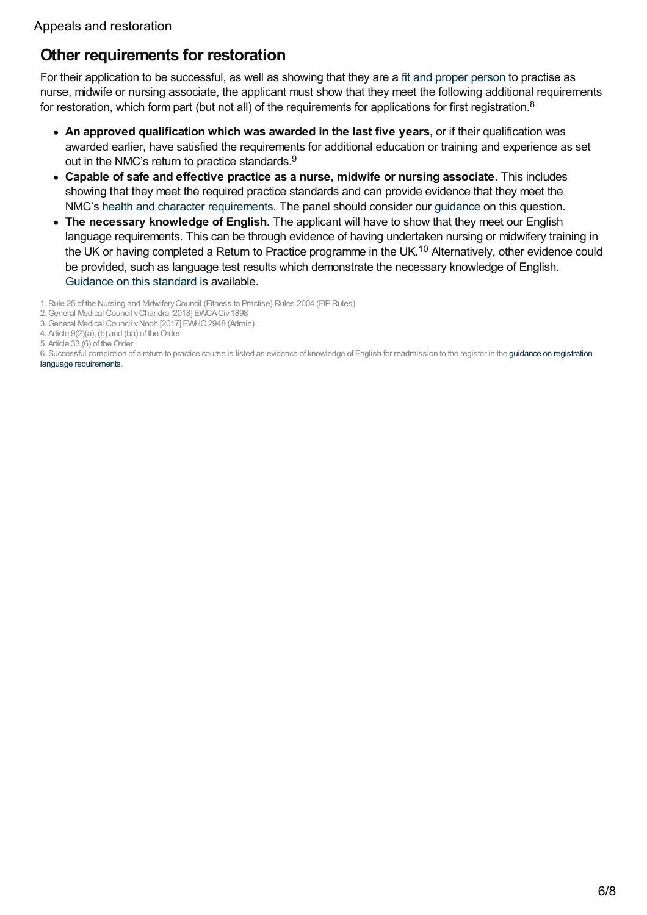## <span id="page-5-0"></span>**Other requirements for restoration**

For their application to be successful, as well as showing that they are a fit and proper [person](#page-4-2) to practise as nurse, midwife or nursing associate, the applicant must show that they meet the following additional requirements for restoration, which form part (but not all) of the requirements for applications for first registration.<sup>8</sup>

- **An approved qualification which was awarded in the last five years**, or if their qualification was awarded earlier, have satisfied the requirements for additional education or training and experience as set out in the NMC's return to practice standards.<sup>9</sup>
- **Capable of safe and effective practice as a nurse, midwife or nursing associate.** This includes showing that they meet the required practice standards and can provide evidence that they meet the NMC's health and character [requirements](https://www.nmc.org.uk/globalassets/sitedocuments/registration/character-and-health-decision-making-guidance.pdf). The panel should consider our [guidance](https://www.nmc.org.uk/globalassets/sitedocuments/registration/character-and-health-decision-making-guidance.pdf) on this question.
- **The necessary knowledge of English.** The applicant will have to show that they meet our English language requirements. This can be through evidence of having undertaken nursing or midwifery training in the UK or having completed a Return to Practice programme in the UK.<sup>10</sup> Alternatively, other evidence could be provided, such as language test results which demonstrate the necessary knowledge of English. [Guidance](https://www.nmc.org.uk/ftp-library/understanding-fitness-to-practise/fitness-to-practise-allegations/not-having-the-necessary-knowledge-of-english/) on this standard is available.
- 1.Rule 25 of the Nursing and MidwiferyCouncil (Fitness to Practise) Rules 2004 (FtPRules)

<sup>2.</sup>General Medical Council vChandra [2018] EWCACiv1898

<sup>3.</sup>General Medical Council vNooh [2017] EWHC2948 (Admin)

<sup>4.</sup> Article 9(2)(a), (b) and (ba) of the Order

<sup>5.</sup> Article 33 (6) of the Order

<sup>6.</sup> Successful completion of a return to practice course is listed as evidence of knowledge of English for [readmission](https://www.nmc.org.uk/globalassets/sitedocuments/registration/language-requirements-guidance.pdf) to the register in the guidance on registration language requirements.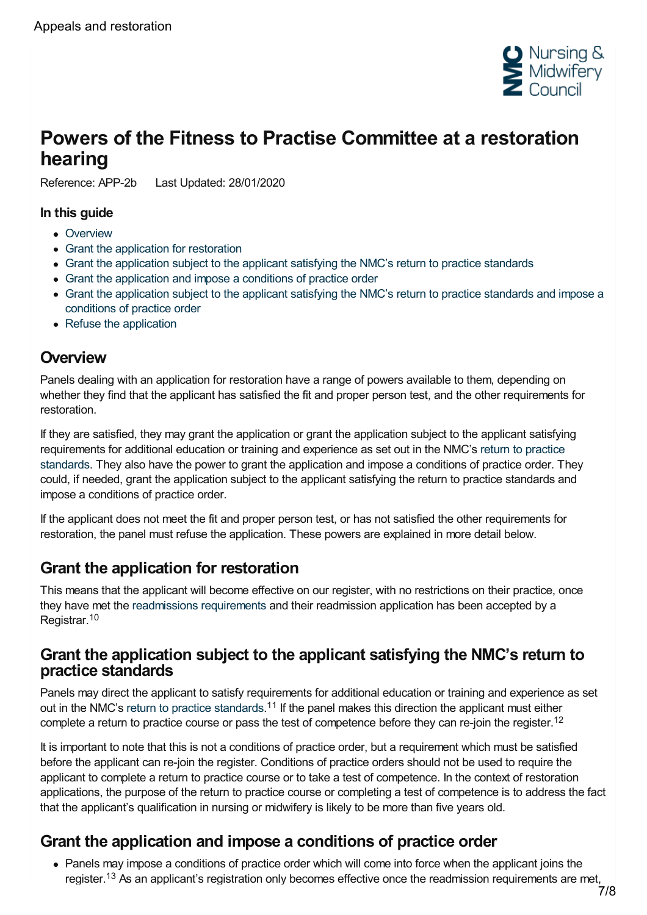

# <span id="page-6-0"></span>**Powers of the Fitness to Practise Committee at a restoration hearing**

Reference: APP-2b Last Updated: 28/01/2020

#### **In this guide**

- [Overview](#page-6-1)
- Grant the [application](#page-6-2) for restoration
- Grant the [application](#page-6-3) subject to the applicant satisfying the NMC's return to practice standards
- Grant the [application](#page-6-4) and impose a conditions of practice order
- Grant the [application](#page-7-0) subject to the applicant satisfying the NMC's return to practice standards and impose a conditions of practice order
- Refuse the [application](#page-7-1)

### <span id="page-6-1"></span>**Overview**

Panels dealing with an application for restoration have a range of powers available to them, depending on whether they find that the applicant has satisfied the fit and proper person test, and the other requirements for restoration.

If they are satisfied, they may grant the application or grant the application subject to the applicant satisfying [requirements](https://www.nmc.org.uk/standards-for-education-and-training/standards-relating-to-return-to-practice/return-to-practice-courses/) for additional education or training and experience as set out in the NMC's return to practice standards. They also have the power to grant the application and impose a conditions of practice order. They could, if needed, grant the application subject to the applicant satisfying the return to practice standards and impose a conditions of practice order.

If the applicant does not meet the fit and proper person test, or has not satisfied the other requirements for restoration, the panel must refuse the application. These powers are explained in more detail below.

# <span id="page-6-2"></span>**Grant the application for restoration**

This means that the applicant will become effective on our register, with no restrictions on their practice, once they have met the [readmissions](https://www.nmc.org.uk/registration/returning-to-the-register/checklist-of-requirements/) requirements and their readmission application has been accepted by a Registrar. 10

#### <span id="page-6-3"></span>**Grant the application subject to the applicant satisfying the NMC's return to practice standards**

Panels may direct the applicant to satisfy requirements for additional education or training and experience as set out in the NMC's return to practice [standards](https://www.nmc.org.uk/standards-for-education-and-training/standards-relating-to-return-to-practice/return-to-practice-courses/).<sup>11</sup> If the panel makes this direction the applicant must either complete a return to practice course or pass the test of competence before they can re-join the register.<sup>12</sup>

It is important to note that this is not a conditions of practice order, but a requirement which must be satisfied before the applicant can re-join the register. Conditions of practice orders should not be used to require the applicant to complete a return to practice course or to take a test of competence. In the context of restoration applications, the purpose of the return to practice course or completing a test of competence is to address the fact that the applicant's qualification in nursing or midwifery is likely to be more than five years old.

## <span id="page-6-4"></span>**Grant the application and impose a conditions of practice order**

Panels may impose a conditions of practice order which will come into force when the applicant joins the register.<sup>13</sup> As an applicant's registration only becomes effective once the readmission requirements are met,